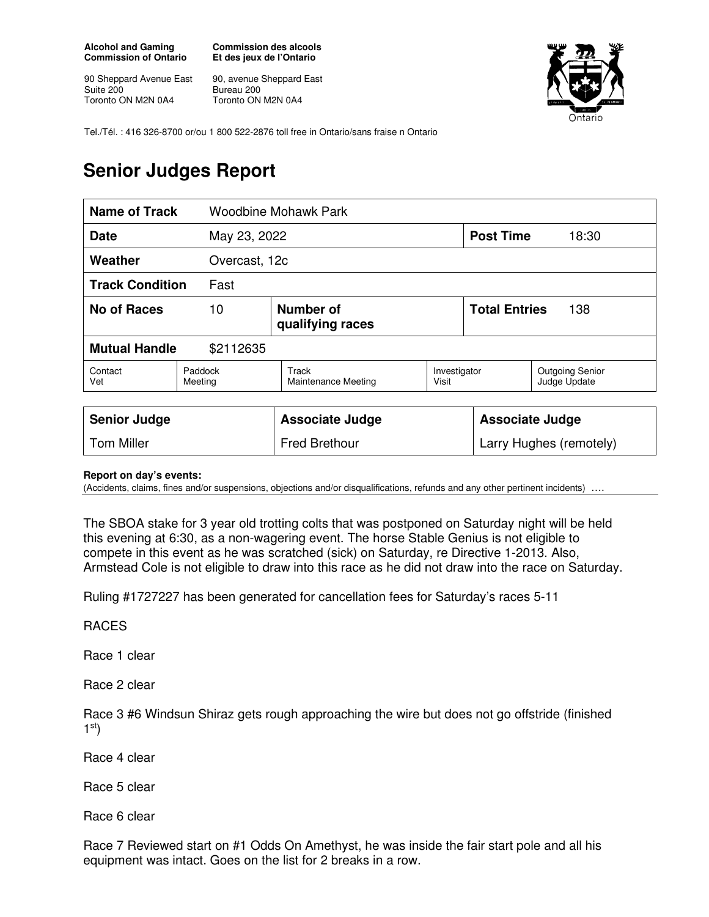**Alcohol and Gaming Commission of Ontario** 

90 Sheppard Avenue East Suite 200 Toronto ON M2N 0A4

**Commission des alcools Et des jeux de l'Ontario** 

90, avenue Sheppard East Bureau 200 Toronto ON M2N 0A4



Tel./Tél. : 416 326-8700 or/ou 1 800 522-2876 toll free in Ontario/sans fraise n Ontario

## **Senior Judges Report**

| <b>Name of Track</b>              |                    | <b>Woodbine Mohawk Park</b>   |                       |                             |                                        |
|-----------------------------------|--------------------|-------------------------------|-----------------------|-----------------------------|----------------------------------------|
| <b>Date</b><br>May 23, 2022       |                    |                               |                       | <b>Post Time</b>            | 18:30                                  |
| Weather                           |                    | Overcast, 12c                 |                       |                             |                                        |
| <b>Track Condition</b><br>Fast    |                    |                               |                       |                             |                                        |
| No of Races                       | 10                 | Number of<br>qualifying races |                       | <b>Total Entries</b><br>138 |                                        |
| <b>Mutual Handle</b><br>\$2112635 |                    |                               |                       |                             |                                        |
| Contact<br>Vet                    | Paddock<br>Meeting | Track<br>Maintenance Meeting  | Investigator<br>Visit |                             | <b>Outgoing Senior</b><br>Judge Update |
| <b>Senior Judge</b>               |                    | <b>Associate Judge</b>        |                       | <b>Associate Judge</b>      |                                        |

## **Report on day's events:**

(Accidents, claims, fines and/or suspensions, objections and/or disqualifications, refunds and any other pertinent incidents)

The SBOA stake for 3 year old trotting colts that was postponed on Saturday night will be held this evening at 6:30, as a non-wagering event. The horse Stable Genius is not eligible to compete in this event as he was scratched (sick) on Saturday, re Directive 1-2013. Also, Armstead Cole is not eligible to draw into this race as he did not draw into the race on Saturday.

Tom Miller **Fred Brethour** Fred Brethour **Larry Hughes (remotely)** 

Ruling #1727227 has been generated for cancellation fees for Saturday's races 5-11

RACES

Race 1 clear

Race 2 clear

Race 3 #6 Windsun Shiraz gets rough approaching the wire but does not go offstride (finished  $1<sup>st</sup>$ 

Race 4 clear

Race 5 clear

Race 6 clear

Race 7 Reviewed start on #1 Odds On Amethyst, he was inside the fair start pole and all his equipment was intact. Goes on the list for 2 breaks in a row.